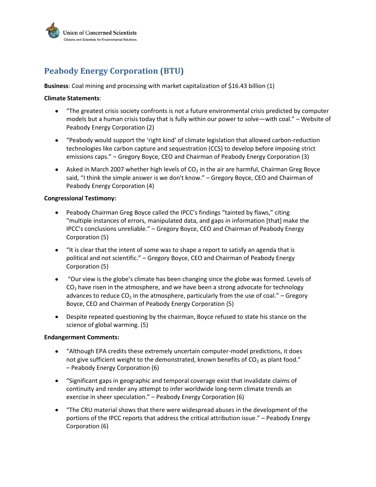

# **Peabody Energy Corporation (BTU)**

**Business**: Coal mining and processing with market capitalization of \$16.43 billion (1)

### **Climate Statements**:

- "The greatest crisis society confronts is not a future environmental crisis predicted by computer models but a human crisis today that is fully within our power to solve—with coal." – Website of Peabody Energy Corporation (2)
- "Peabody would support the 'right kind' of climate legislation that allowed carbon-reduction  $\bullet$ technologies like carbon capture and sequestration (CCS) to develop before imposing strict emissions caps." – Gregory Boyce, CEO and Chairman of Peabody Energy Corporation (3)
- Asked in March 2007 whether high levels of  $CO<sub>2</sub>$  in the air are harmful, Chairman Greg Boyce said, "I think the simple answer is we don't know." – Gregory Boyce, CEO and Chairman of Peabody Energy Corporation (4)

#### **Congressional Testimony:**

- Peabody Chairman Greg Boyce called the IPCC's findings "tainted by flaws," citing "multiple instances of errors, manipulated data, and gaps in information [that] make the IPCC's conclusions unreliable." – Gregory Boyce, CEO and Chairman of Peabody Energy Corporation (5)
- "It is clear that the intent of some was to shape a report to satisfy an agenda that is political and not scientific." – Gregory Boyce, CEO and Chairman of Peabody Energy Corporation (5)
- "Our view is the globe's climate has been changing since the globe was formed. Levels of  $\bullet$  $CO<sub>2</sub>$  have risen in the atmosphere, and we have been a strong advocate for technology advances to reduce  $CO<sub>2</sub>$  in the atmosphere, particularly from the use of coal." – Gregory Boyce, CEO and Chairman of Peabody Energy Corporation (5)
- Despite repeated questioning by the chairman, Boyce refused to state his stance on the science of global warming. (5)

#### **Endangerment Comments:**

- "Although EPA credits these extremely uncertain computer-model predictions, it does  $\bullet$ not give sufficient weight to the demonstrated, known benefits of  $CO<sub>2</sub>$  as plant food." – Peabody Energy Corporation (6)
- "Significant gaps in geographic and temporal coverage exist that invalidate claims of continuity and render any attempt to infer worldwide long-term climate trends an exercise in sheer speculation." – Peabody Energy Corporation (6)
- "The CRU material shows that there were widespread abuses in the development of the portions of the IPCC reports that address the critical attribution issue." – Peabody Energy Corporation (6)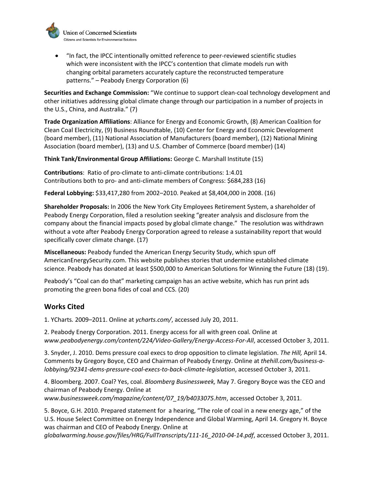

"In fact, the IPCC intentionally omitted reference to peer-reviewed scientific studies which were inconsistent with the IPCC's contention that climate models run with changing orbital parameters accurately capture the reconstructed temperature patterns." – Peabody Energy Corporation (6)

**Securities and Exchange Commission:** "We continue to support clean-coal technology development and other initiatives addressing global climate change through our participation in a number of projects in the U.S., China, and Australia." (7)

**Trade Organization Affiliations**: Alliance for Energy and Economic Growth, (8) American Coalition for Clean Coal Electricity, (9) Business Roundtable, (10) Center for Energy and Economic Development (board member), (11) National Association of Manufacturers (board member), (12) National Mining Association (board member), (13) and U.S. Chamber of Commerce (board member) (14)

**Think Tank/Environmental Group Affiliations:** George C. Marshall Institute (15)

**Contributions**: Ratio of pro-climate to anti-climate contributions: 1:4.01 Contributions both to pro- and anti-climate members of Congress: \$684,283 (16)

**Federal Lobbying:** \$33,417,280 from 2002–2010. Peaked at \$8,404,000 in 2008. (16)

**Shareholder Proposals:** In 2006 the New York City Employees Retirement System, a shareholder of Peabody Energy Corporation, filed a resolution seeking "greater analysis and disclosure from the company about the financial impacts posed by global climate change." The resolution was withdrawn without a vote after Peabody Energy Corporation agreed to release a sustainability report that would specifically cover climate change. (17)

**Miscellaneous:** Peabody funded the American Energy Security Study, which spun off AmericanEnergySecurity.com. This website publishes stories that undermine established climate science. Peabody has donated at least \$500,000 to American Solutions for Winning the Future (18) (19).

Peabody's "Coal can do that" marketing campaign has an active website, which has run print ads promoting the green bona fides of coal and CCS. (20)

## **Works Cited**

1. YCharts*.* 2009–2011. Online at *ycharts.com/*, accessed July 20, 2011.

2. Peabody Energy Corporation. 2011. Energy access for all with green coal*.* Online at *www.peabodyenergy.com/content/224/Video-Gallery/Energy-Access-For-All*, accessed October 3, 2011.

3. Snyder, J. 2010. Dems pressure coal execs to drop opposition to climate legislation. *The Hill,* April 14. Comments by Gregory Boyce, CEO and Chairman of Peabody Energy. Online at *thehill.com/business-alobbying/92341-dems-pressure-coal-execs-to-back-climate-legislation*, accessed October 3, 2011.

4. Bloomberg. 2007. Coal? Yes, coal. *Bloomberg Businessweek,* May 7. Gregory Boyce was the CEO and chairman of Peabody Energy. Online at *www.businessweek.com/magazine/content/07\_19/b4033075.htm*, accessed October 3, 2011.

5. Boyce, G.H. 2010. Prepared statement for a hearing, "The role of coal in a new energy age," of the U.S. House Select Committee on Energy Independence and Global Warming, April 14. Gregory H. Boyce was chairman and CEO of Peabody Energy. Online at

*globalwarming.house.gov/files/HRG/FullTranscripts/111-16\_2010-04-14.pdf*, accessed October 3, 2011.